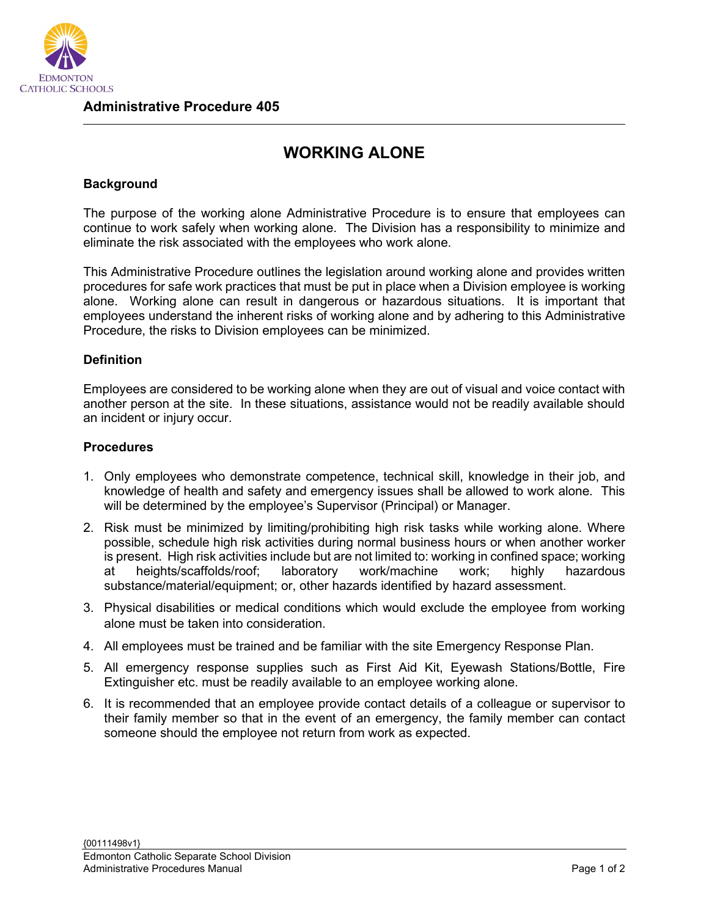

## **WORKING ALONE**

## **Background**

The purpose of the working alone Administrative Procedure is to ensure that employees can continue to work safely when working alone. The Division has a responsibility to minimize and eliminate the risk associated with the employees who work alone.

This Administrative Procedure outlines the legislation around working alone and provides written procedures for safe work practices that must be put in place when a Division employee is working alone. Working alone can result in dangerous or hazardous situations. It is important that employees understand the inherent risks of working alone and by adhering to this Administrative Procedure, the risks to Division employees can be minimized.

## **Definition**

Employees are considered to be working alone when they are out of visual and voice contact with another person at the site. In these situations, assistance would not be readily available should an incident or injury occur.

## **Procedures**

- 1. Only employees who demonstrate competence, technical skill, knowledge in their job, and knowledge of health and safety and emergency issues shall be allowed to work alone. This will be determined by the employee's Supervisor (Principal) or Manager.
- 2. Risk must be minimized by limiting/prohibiting high risk tasks while working alone. Where possible, schedule high risk activities during normal business hours or when another worker is present. High risk activities include but are not limited to: working in confined space; working at heights/scaffolds/roof; laboratory work/machine work; highly hazardous substance/material/equipment; or, other hazards identified by hazard assessment.
- 3. Physical disabilities or medical conditions which would exclude the employee from working alone must be taken into consideration.
- 4. All employees must be trained and be familiar with the site Emergency Response Plan.
- 5. All emergency response supplies such as First Aid Kit, Eyewash Stations/Bottle, Fire Extinguisher etc. must be readily available to an employee working alone.
- 6. It is recommended that an employee provide contact details of a colleague or supervisor to their family member so that in the event of an emergency, the family member can contact someone should the employee not return from work as expected.